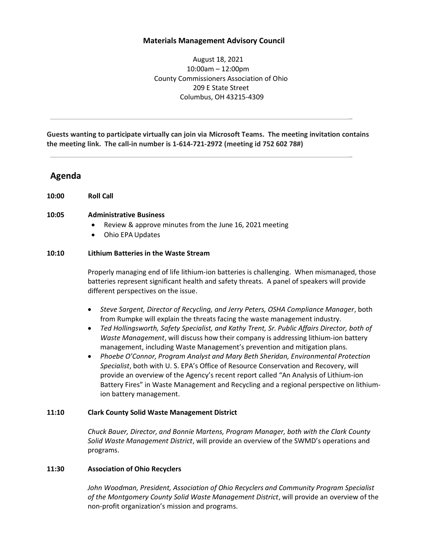### **Materials Management Advisory Council**

August 18, 2021 10:00am – 12:00pm County Commissioners Association of Ohio 209 E State Street Columbus, OH 43215-4309

\_

\_

**Guests wanting to participate virtually can join via Microsoft Teams. The meeting invitation contains the meeting link. The call-in number is 1-614-721-2972 (meeting id 752 602 78#)** 

# **Agenda**

**10:00 Roll Call** 

#### **10:05 Administrative Business**

- Review & approve minutes from the June 16, 2021 meeting
- Ohio EPA Updates

#### **10:10 Lithium Batteries in the Waste Stream**

Properly managing end of life lithium-ion batteries is challenging. When mismanaged, those batteries represent significant health and safety threats. A panel of speakers will provide different perspectives on the issue.

- *Steve Sargent, Director of Recycling, and Jerry Peters, OSHA Compliance Manager*, both from Rumpke will explain the threats facing the waste management industry.
- *Ted Hollingsworth, Safety Specialist, and Kathy Trent, Sr. Public Affairs Director, both of Waste Management*, will discuss how their company is addressing lithium-ion battery management, including Waste Management's prevention and mitigation plans.
- *Phoebe O'Connor, Program Analyst and Mary Beth Sheridan, Environmental Protection Specialist*, both with U. S. EPA's Office of Resource Conservation and Recovery, will provide an overview of the Agency's recent report called "An Analysis of Lithium-ion Battery Fires" in Waste Management and Recycling and a regional perspective on lithiumion battery management.

### **11:10 Clark County Solid Waste Management District**

*Chuck Bauer, Director, and Bonnie Martens, Program Manager, both with the Clark County Solid Waste Management District*, will provide an overview of the SWMD's operations and programs.

### **11:30 Association of Ohio Recyclers**

*John Woodman, President, Association of Ohio Recyclers and Community Program Specialist of the Montgomery County Solid Waste Management District*, will provide an overview of the non-profit organization's mission and programs.